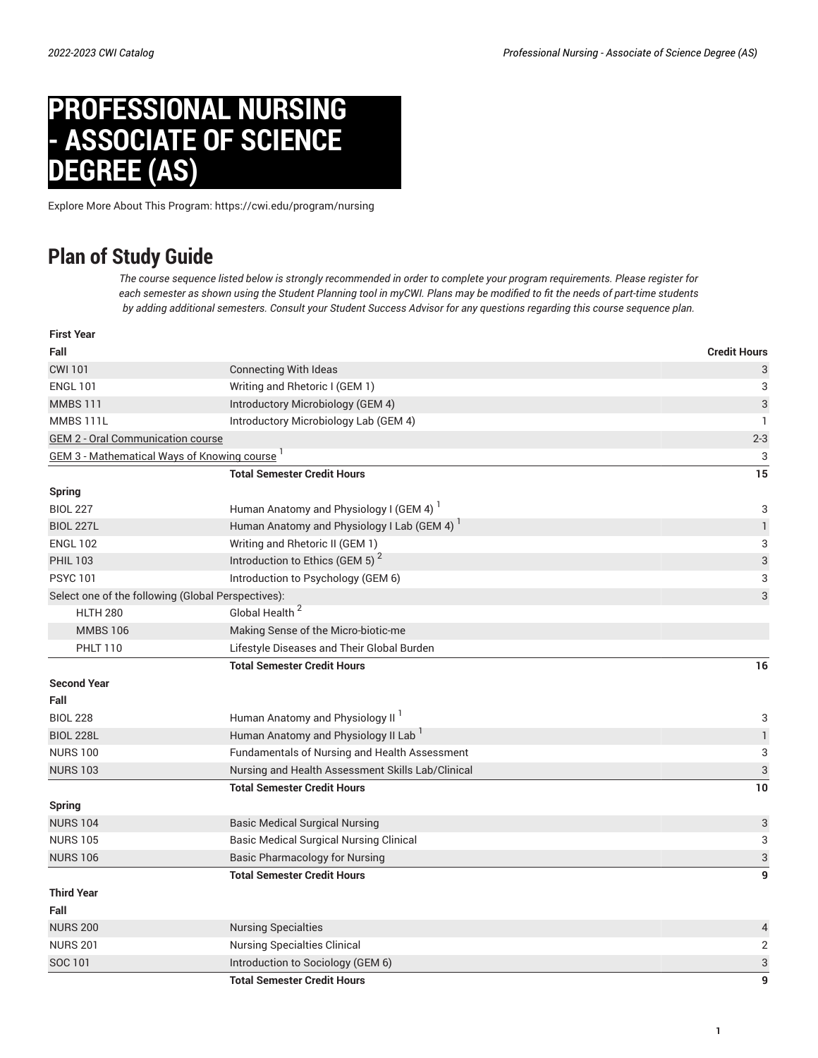## **PROFESSIONAL NURSING - ASSOCIATE OF SCIENCE DEGREE (AS)**

Explore More About This Program: https://cwi.edu/program/nursing

## **Plan of Study Guide**

The course sequence listed below is strongly recommended in order to complete your program requirements. Please register for each semester as shown using the Student Planning tool in myCWI. Plans may be modified to fit the needs of part-time students by adding additional semesters. Consult your Student Success Advisor for any questions regarding this course sequence plan.

| <b>First Year</b>                                               |                                                         |                           |
|-----------------------------------------------------------------|---------------------------------------------------------|---------------------------|
| Fall                                                            |                                                         | <b>Credit Hours</b>       |
| <b>CWI 101</b>                                                  | <b>Connecting With Ideas</b>                            | 3                         |
| <b>ENGL 101</b>                                                 | Writing and Rhetoric I (GEM 1)                          | 3                         |
| <b>MMBS111</b>                                                  | Introductory Microbiology (GEM 4)                       | 3                         |
| MMBS 111L                                                       | Introductory Microbiology Lab (GEM 4)                   | $\mathbf{1}$              |
| <b>GEM 2 - Oral Communication course</b>                        |                                                         | $2 - 3$                   |
| <b>GEM 3 - Mathematical Ways of Knowing course</b> <sup>1</sup> |                                                         | 3                         |
|                                                                 | <b>Total Semester Credit Hours</b>                      | 15                        |
| <b>Spring</b>                                                   |                                                         |                           |
| <b>BIOL 227</b>                                                 | Human Anatomy and Physiology I (GEM 4) <sup>1</sup>     | 3                         |
| <b>BIOL 227L</b>                                                | Human Anatomy and Physiology I Lab (GEM 4) <sup>1</sup> | $\mathbf{1}$              |
| <b>ENGL 102</b>                                                 | Writing and Rhetoric II (GEM 1)                         | 3                         |
| <b>PHIL 103</b>                                                 | Introduction to Ethics (GEM 5) <sup>2</sup>             | $\ensuremath{\mathsf{3}}$ |
| <b>PSYC101</b>                                                  | Introduction to Psychology (GEM 6)                      | 3                         |
| Select one of the following (Global Perspectives):              |                                                         | 3                         |
| <b>HLTH 280</b>                                                 | Global Health <sup>2</sup>                              |                           |
| <b>MMBS 106</b>                                                 | Making Sense of the Micro-biotic-me                     |                           |
| <b>PHLT 110</b>                                                 | Lifestyle Diseases and Their Global Burden              |                           |
|                                                                 | <b>Total Semester Credit Hours</b>                      | 16                        |
| <b>Second Year</b>                                              |                                                         |                           |
| Fall                                                            |                                                         |                           |
| <b>BIOL 228</b>                                                 | Human Anatomy and Physiology II <sup>1</sup>            | 3                         |
| <b>BIOL 228L</b>                                                | Human Anatomy and Physiology II Lab                     | $\mathbbm{1}$             |
| <b>NURS 100</b>                                                 | Fundamentals of Nursing and Health Assessment           | 3                         |
| <b>NURS 103</b>                                                 | Nursing and Health Assessment Skills Lab/Clinical       | $\ensuremath{\mathsf{3}}$ |
|                                                                 | <b>Total Semester Credit Hours</b>                      | 10                        |
| <b>Spring</b>                                                   |                                                         |                           |
| <b>NURS 104</b>                                                 | <b>Basic Medical Surgical Nursing</b>                   | 3                         |
| <b>NURS 105</b>                                                 | <b>Basic Medical Surgical Nursing Clinical</b>          | 3                         |
| <b>NURS 106</b>                                                 | <b>Basic Pharmacology for Nursing</b>                   | $\ensuremath{\mathsf{3}}$ |
|                                                                 | <b>Total Semester Credit Hours</b>                      | 9                         |
| <b>Third Year</b>                                               |                                                         |                           |
| Fall                                                            |                                                         |                           |
| <b>NURS 200</b>                                                 | <b>Nursing Specialties</b>                              | 4                         |
| <b>NURS 201</b>                                                 | <b>Nursing Specialties Clinical</b>                     | $\mathbf 2$               |
| <b>SOC 101</b>                                                  | Introduction to Sociology (GEM 6)                       | $\ensuremath{\mathsf{3}}$ |
|                                                                 | <b>Total Semester Credit Hours</b>                      | $\mathbf{g}$              |